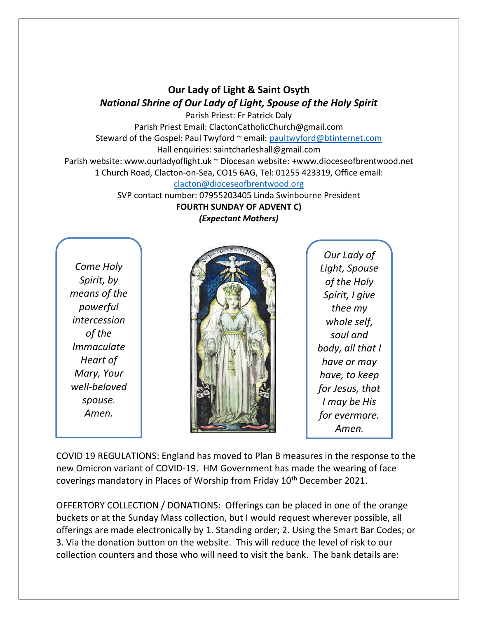## **Our Lady of Light & Saint Osyth** *National Shrine of Our Lady of Light, Spouse of the Holy Spirit*

Parish Priest: Fr Patrick Daly Parish Priest Email: ClactonCatholicChurch@gmail.com Steward of the Gospel: Paul Twyford ~ email: [paultwyford@btinternet.com](mailto:paultwyford@btinternet.com) Hall enquiries: saintcharleshall@gmail.com Parish website: www.ourladyoflight.uk ~ Diocesan website: +www.dioceseofbrentwood.net 1 Church Road, Clacton-on-Sea, CO15 6AG, Tel: 01255 423319, Office email:

[clacton@dioceseofbrentwood.org](mailto:clacton@dioceseofbrentwood.org)

SVP contact number: 07955203405 Linda Swinbourne President **FOURTH SUNDAY OF ADVENT C)**

*(Expectant Mothers)*

*Come Holy Spirit, by means of the powerful intercession of the Immaculate Heart of Mary, Your well-beloved spouse. Amen.*



*Our Lady of Light, Spouse of the Holy Spirit, I give thee my whole self, soul and body, all that I have or may have, to keep for Jesus, that I may be His for evermore. Amen.*

COVID 19 REGULATIONS: England has moved to Plan B measures in the response to the new Omicron variant of COVID-19. HM Government has made the wearing of face coverings mandatory in Places of Worship from Friday 10<sup>th</sup> December 2021.

OFFERTORY COLLECTION / DONATIONS: Offerings can be placed in one of the orange buckets or at the Sunday Mass collection, but I would request wherever possible, all offerings are made electronically by 1. Standing order; 2. Using the Smart Bar Codes; or 3. Via the donation button on the website. This will reduce the level of risk to our collection counters and those who will need to visit the bank. The bank details are: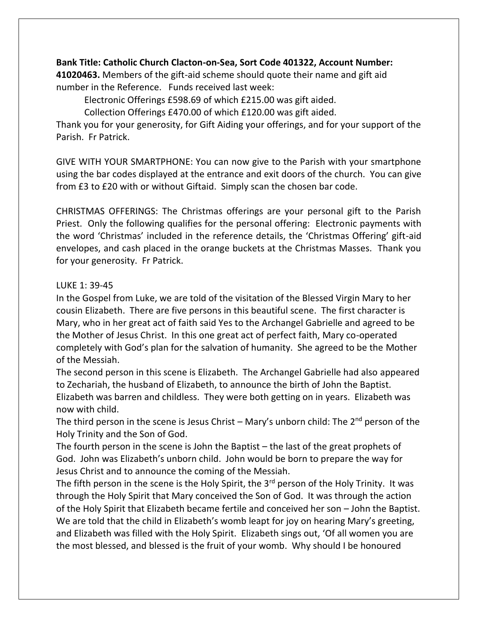## **Bank Title: Catholic Church Clacton-on-Sea, Sort Code 401322, Account Number:**

**41020463.** Members of the gift-aid scheme should quote their name and gift aid number in the Reference. Funds received last week:

Electronic Offerings £598.69 of which £215.00 was gift aided.

Collection Offerings £470.00 of which £120.00 was gift aided.

Thank you for your generosity, for Gift Aiding your offerings, and for your support of the Parish. Fr Patrick.

GIVE WITH YOUR SMARTPHONE: You can now give to the Parish with your smartphone using the bar codes displayed at the entrance and exit doors of the church. You can give from £3 to £20 with or without Giftaid. Simply scan the chosen bar code.

CHRISTMAS OFFERINGS: The Christmas offerings are your personal gift to the Parish Priest. Only the following qualifies for the personal offering: Electronic payments with the word 'Christmas' included in the reference details, the 'Christmas Offering' gift-aid envelopes, and cash placed in the orange buckets at the Christmas Masses. Thank you for your generosity. Fr Patrick.

## LUKE 1: 39-45

In the Gospel from Luke, we are told of the visitation of the Blessed Virgin Mary to her cousin Elizabeth. There are five persons in this beautiful scene. The first character is Mary, who in her great act of faith said Yes to the Archangel Gabrielle and agreed to be the Mother of Jesus Christ. In this one great act of perfect faith, Mary co-operated completely with God's plan for the salvation of humanity. She agreed to be the Mother of the Messiah.

The second person in this scene is Elizabeth. The Archangel Gabrielle had also appeared to Zechariah, the husband of Elizabeth, to announce the birth of John the Baptist. Elizabeth was barren and childless. They were both getting on in years. Elizabeth was now with child.

The third person in the scene is Jesus Christ – Mary's unborn child: The  $2^{nd}$  person of the Holy Trinity and the Son of God.

The fourth person in the scene is John the Baptist – the last of the great prophets of God. John was Elizabeth's unborn child. John would be born to prepare the way for Jesus Christ and to announce the coming of the Messiah.

The fifth person in the scene is the Holy Spirit, the  $3<sup>rd</sup>$  person of the Holy Trinity. It was through the Holy Spirit that Mary conceived the Son of God. It was through the action of the Holy Spirit that Elizabeth became fertile and conceived her son – John the Baptist. We are told that the child in Elizabeth's womb leapt for joy on hearing Mary's greeting, and Elizabeth was filled with the Holy Spirit. Elizabeth sings out, 'Of all women you are the most blessed, and blessed is the fruit of your womb. Why should I be honoured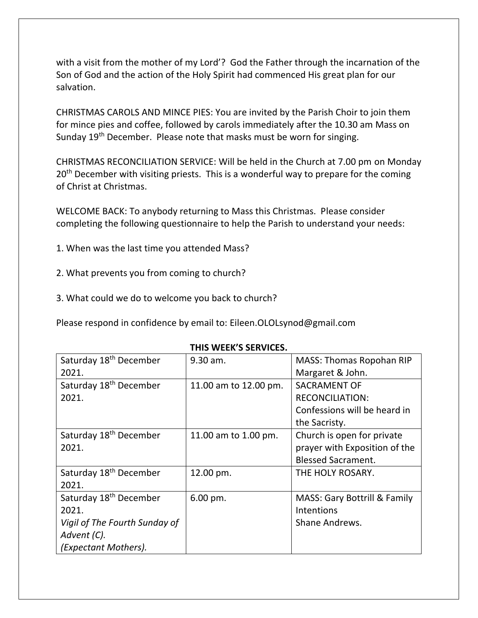with a visit from the mother of my Lord'? God the Father through the incarnation of the Son of God and the action of the Holy Spirit had commenced His great plan for our salvation.

CHRISTMAS CAROLS AND MINCE PIES: You are invited by the Parish Choir to join them for mince pies and coffee, followed by carols immediately after the 10.30 am Mass on Sunday 19<sup>th</sup> December. Please note that masks must be worn for singing.

CHRISTMAS RECONCILIATION SERVICE: Will be held in the Church at 7.00 pm on Monday 20<sup>th</sup> December with visiting priests. This is a wonderful way to prepare for the coming of Christ at Christmas.

WELCOME BACK: To anybody returning to Mass this Christmas. Please consider completing the following questionnaire to help the Parish to understand your needs:

- 1. When was the last time you attended Mass?
- 2. What prevents you from coming to church?
- 3. What could we do to welcome you back to church?

Please respond in confidence by email to: Eileen.OLOLsynod@gmail.com

|                                    | IIIIJ VVLLIN J JLINVILLJ. |                                         |
|------------------------------------|---------------------------|-----------------------------------------|
| Saturday 18 <sup>th</sup> December | 9.30 am.                  | <b>MASS: Thomas Ropohan RIP</b>         |
| 2021.                              |                           | Margaret & John.                        |
| Saturday 18 <sup>th</sup> December | 11.00 am to 12.00 pm.     | <b>SACRAMENT OF</b>                     |
| 2021.                              |                           | <b>RECONCILIATION:</b>                  |
|                                    |                           | Confessions will be heard in            |
|                                    |                           | the Sacristy.                           |
| Saturday 18 <sup>th</sup> December | 11.00 am to 1.00 pm.      | Church is open for private              |
| 2021.                              |                           | prayer with Exposition of the           |
|                                    |                           | <b>Blessed Sacrament.</b>               |
| Saturday 18 <sup>th</sup> December | 12.00 pm.                 | THE HOLY ROSARY.                        |
| 2021.                              |                           |                                         |
| Saturday 18 <sup>th</sup> December | 6.00 pm.                  | <b>MASS: Gary Bottrill &amp; Family</b> |
| 2021.                              |                           | Intentions                              |
| Vigil of The Fourth Sunday of      |                           | Shane Andrews.                          |
| Advent (C).                        |                           |                                         |
| (Expectant Mothers).               |                           |                                         |

**THIS WEEK'S SERVICES.**